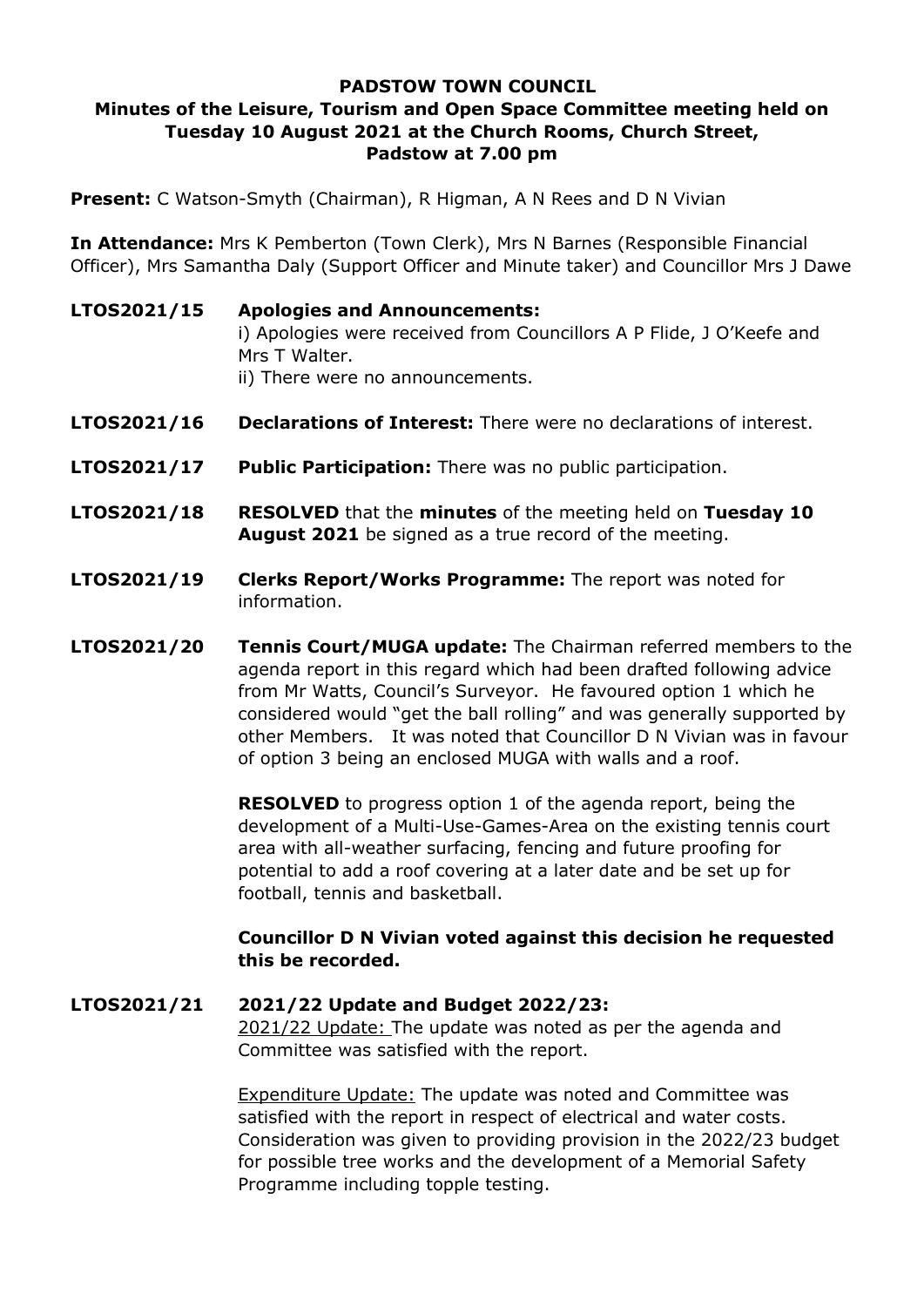## **PADSTOW TOWN COUNCIL Minutes of the Leisure, Tourism and Open Space Committee meeting held on Tuesday 10 August 2021 at the Church Rooms, Church Street, Padstow at 7.00 pm**

**Present:** C Watson-Smyth (Chairman), R Higman, A N Rees and D N Vivian

**In Attendance:** Mrs K Pemberton (Town Clerk), Mrs N Barnes (Responsible Financial Officer), Mrs Samantha Daly (Support Officer and Minute taker) and Councillor Mrs J Dawe

- **LTOS2021/15 Apologies and Announcements:**  i) Apologies were received from Councillors A P Flide, J O'Keefe and Mrs T Walter. ii) There were no announcements.
- **LTOS2021/16 Declarations of Interest:** There were no declarations of interest.
- **LTOS2021/17 Public Participation:** There was no public participation.
- **LTOS2021/18 RESOLVED** that the **minutes** of the meeting held on **Tuesday 10 August 2021** be signed as a true record of the meeting.
- **LTOS2021/19 Clerks Report/Works Programme:** The report was noted for information.
- **LTOS2021/20 Tennis Court/MUGA update:** The Chairman referred members to the agenda report in this regard which had been drafted following advice from Mr Watts, Council's Surveyor. He favoured option 1 which he considered would "get the ball rolling" and was generally supported by other Members. It was noted that Councillor D N Vivian was in favour of option 3 being an enclosed MUGA with walls and a roof.

**RESOLVED** to progress option 1 of the agenda report, being the development of a Multi-Use-Games-Area on the existing tennis court area with all-weather surfacing, fencing and future proofing for potential to add a roof covering at a later date and be set up for football, tennis and basketball.

## **Councillor D N Vivian voted against this decision he requested this be recorded.**

## **LTOS2021/21 2021/22 Update and Budget 2022/23:**

2021/22 Update: The update was noted as per the agenda and Committee was satisfied with the report.

Expenditure Update: The update was noted and Committee was satisfied with the report in respect of electrical and water costs. Consideration was given to providing provision in the 2022/23 budget for possible tree works and the development of a Memorial Safety Programme including topple testing.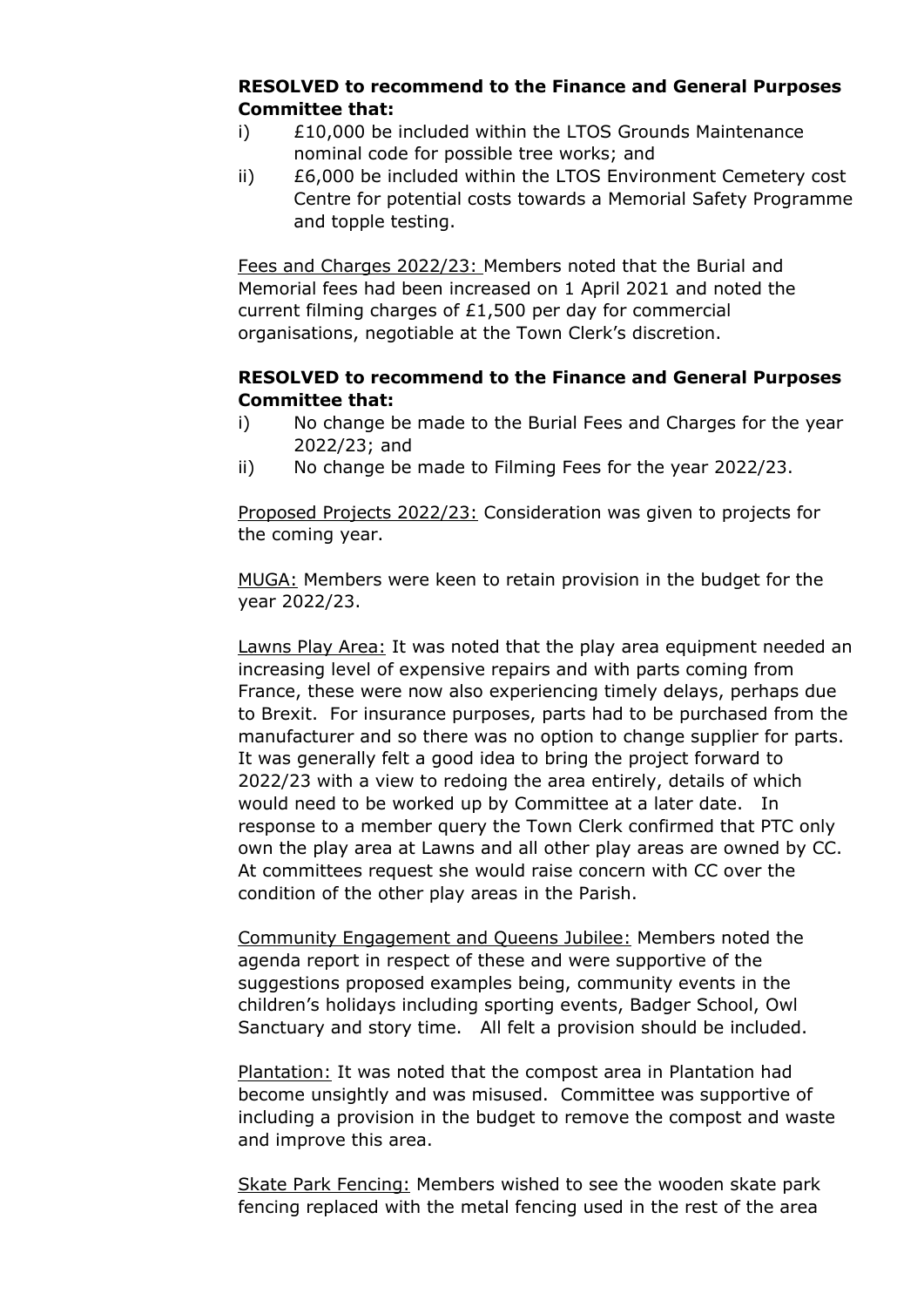## **RESOLVED to recommend to the Finance and General Purposes Committee that:**

- i) £10,000 be included within the LTOS Grounds Maintenance nominal code for possible tree works; and
- ii) £6,000 be included within the LTOS Environment Cemetery cost Centre for potential costs towards a Memorial Safety Programme and topple testing.

Fees and Charges 2022/23: Members noted that the Burial and Memorial fees had been increased on 1 April 2021 and noted the current filming charges of £1,500 per day for commercial organisations, negotiable at the Town Clerk's discretion.

# **RESOLVED to recommend to the Finance and General Purposes Committee that:**

- i) No change be made to the Burial Fees and Charges for the year 2022/23; and
- ii) No change be made to Filming Fees for the year 2022/23.

Proposed Projects 2022/23: Consideration was given to projects for the coming year.

MUGA: Members were keen to retain provision in the budget for the year 2022/23.

Lawns Play Area: It was noted that the play area equipment needed an increasing level of expensive repairs and with parts coming from France, these were now also experiencing timely delays, perhaps due to Brexit. For insurance purposes, parts had to be purchased from the manufacturer and so there was no option to change supplier for parts. It was generally felt a good idea to bring the project forward to 2022/23 with a view to redoing the area entirely, details of which would need to be worked up by Committee at a later date. In response to a member query the Town Clerk confirmed that PTC only own the play area at Lawns and all other play areas are owned by CC. At committees request she would raise concern with CC over the condition of the other play areas in the Parish.

Community Engagement and Queens Jubilee: Members noted the agenda report in respect of these and were supportive of the suggestions proposed examples being, community events in the children's holidays including sporting events, Badger School, Owl Sanctuary and story time. All felt a provision should be included.

Plantation: It was noted that the compost area in Plantation had become unsightly and was misused. Committee was supportive of including a provision in the budget to remove the compost and waste and improve this area.

Skate Park Fencing: Members wished to see the wooden skate park fencing replaced with the metal fencing used in the rest of the area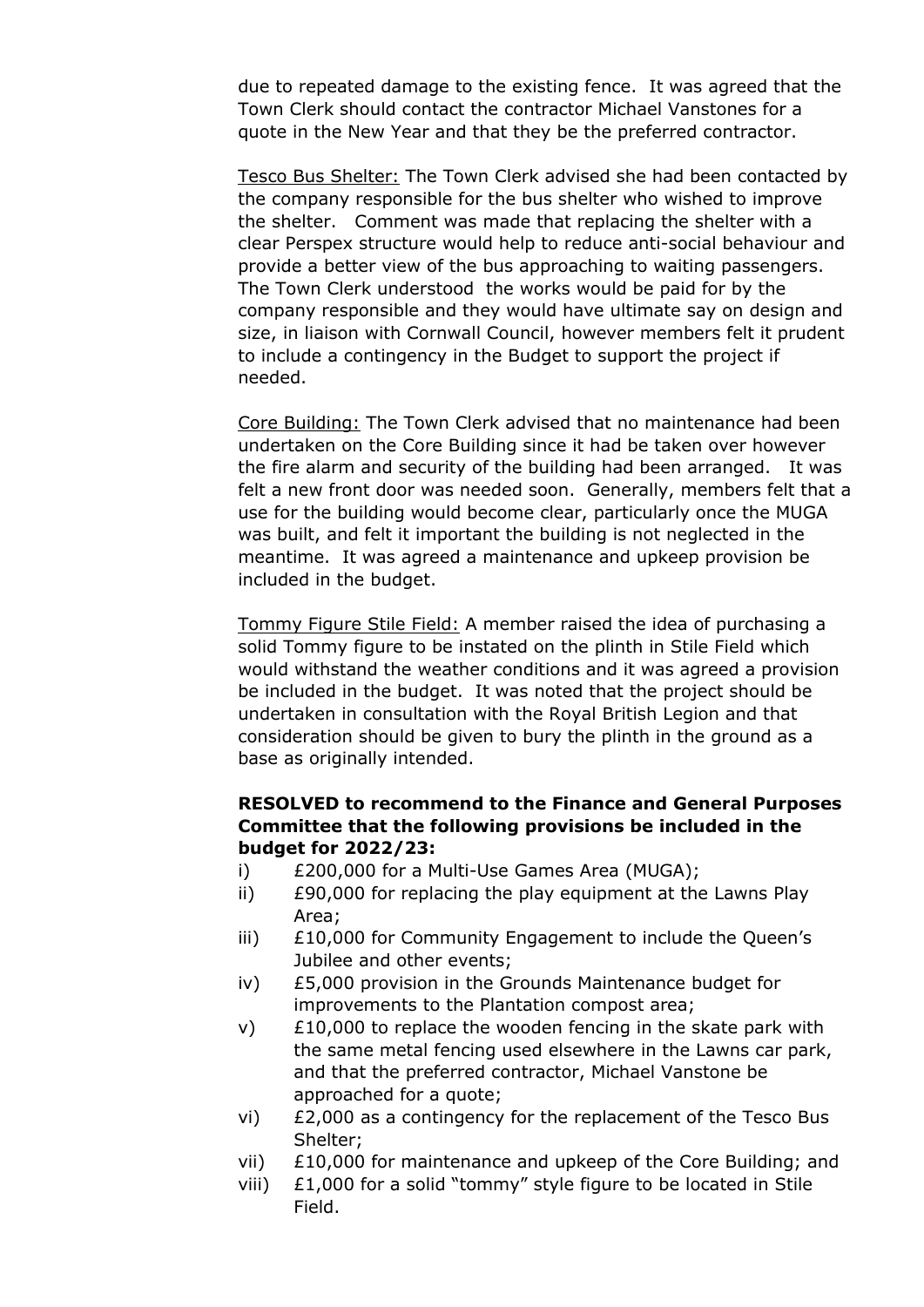due to repeated damage to the existing fence. It was agreed that the Town Clerk should contact the contractor Michael Vanstones for a quote in the New Year and that they be the preferred contractor.

Tesco Bus Shelter: The Town Clerk advised she had been contacted by the company responsible for the bus shelter who wished to improve the shelter. Comment was made that replacing the shelter with a clear Perspex structure would help to reduce anti-social behaviour and provide a better view of the bus approaching to waiting passengers. The Town Clerk understood the works would be paid for by the company responsible and they would have ultimate say on design and size, in liaison with Cornwall Council, however members felt it prudent to include a contingency in the Budget to support the project if needed.

Core Building: The Town Clerk advised that no maintenance had been undertaken on the Core Building since it had be taken over however the fire alarm and security of the building had been arranged. It was felt a new front door was needed soon. Generally, members felt that a use for the building would become clear, particularly once the MUGA was built, and felt it important the building is not neglected in the meantime. It was agreed a maintenance and upkeep provision be included in the budget.

Tommy Figure Stile Field: A member raised the idea of purchasing a solid Tommy figure to be instated on the plinth in Stile Field which would withstand the weather conditions and it was agreed a provision be included in the budget. It was noted that the project should be undertaken in consultation with the Royal British Legion and that consideration should be given to bury the plinth in the ground as a base as originally intended.

## **RESOLVED to recommend to the Finance and General Purposes Committee that the following provisions be included in the budget for 2022/23:**

- i) £200,000 for a Multi-Use Games Area (MUGA);
- ii) £90,000 for replacing the play equipment at the Lawns Play Area;
- iii) £10,000 for Community Engagement to include the Queen's Jubilee and other events;
- iv) £5,000 provision in the Grounds Maintenance budget for improvements to the Plantation compost area;
- $v$ )  $\pm$  10,000 to replace the wooden fencing in the skate park with the same metal fencing used elsewhere in the Lawns car park, and that the preferred contractor, Michael Vanstone be approached for a quote;
- vi) £2,000 as a contingency for the replacement of the Tesco Bus Shelter;
- vii) £10,000 for maintenance and upkeep of the Core Building; and
- viii) £1,000 for a solid "tommy" style figure to be located in Stile Field.